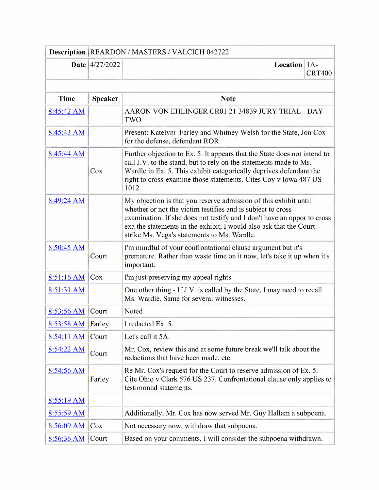|              |                         | <b>Description REARDON / MASTERS / VALCICH 042722</b>                                                                                                                                                                                                                                                                            |               |
|--------------|-------------------------|----------------------------------------------------------------------------------------------------------------------------------------------------------------------------------------------------------------------------------------------------------------------------------------------------------------------------------|---------------|
|              | <b>Date</b> $4/27/2022$ | <b>Location</b>   $1A$ -                                                                                                                                                                                                                                                                                                         | <b>CRT400</b> |
| <b>Time</b>  | <b>Speaker</b>          | <b>Note</b>                                                                                                                                                                                                                                                                                                                      |               |
| 8:45:42 AM   |                         | AARON VON EHLINGER CR01 21 34839 JURY TRIAL - DAY<br>TWO                                                                                                                                                                                                                                                                         |               |
| 8:45:43 AM   |                         | Present: Katelynt Farley and Whitney Welsh for the State, Jon Cox<br>for the defense, defendant ROR                                                                                                                                                                                                                              |               |
| 8:45:44 AM   | Cox                     | Further objection to Ex. 5. It appears that the State does not intend to<br>call J.V. to the stand, but to rely on the statements made to Ms.<br>Wardle in Ex. 5. This exhibit categorically deprives defendant the<br>right to cross-examine those statements. Cites Coy v Iowa 487 US<br>1012                                  |               |
| 8:49:24 AM   |                         | My objection is that you reserve admission of this exhibit until<br>whether or not the victim testifies and is subject to cross-<br>examination. If she does not testify and I don't have an oppor to cross<br>exa the statements in the exhibit, I would also ask that the Court<br>strike Ms. Vega's statements to Ms. Wardle. |               |
| 8:50:45 AM   | Court                   | I'm mindful of your confrontational clause argument but it's<br>premature. Rather than waste time on it now, let's take it up when it's<br>important.                                                                                                                                                                            |               |
| 8:51:16 AM   | Cox                     | I'm just preserving my appeal rights                                                                                                                                                                                                                                                                                             |               |
| 8:51:31 AM   |                         | One other thing - If J.V. is called by the State, I may need to recall<br>Ms. Wardle. Same for several witnesses.                                                                                                                                                                                                                |               |
| 8:53:56 AM   | Court                   | Noted                                                                                                                                                                                                                                                                                                                            |               |
| 8:53:58 AM   | Farley                  | I redacted Ex. 5                                                                                                                                                                                                                                                                                                                 |               |
| $8:54:11$ AM | Court                   | Let's call it 5A.                                                                                                                                                                                                                                                                                                                |               |
| 8:54:22 AM   | Court                   | Mr. Cox, review this and at some future break we'll talk about the<br>redactions that have been made, etc.                                                                                                                                                                                                                       |               |
| 8:54:56 AM   | Farley                  | Re Mr. Cox's request for the Court to reserve admission of Ex. 5.<br>Cite Ohio v Clark 576 US 237. Confrontational clause only applies to<br>testimonial statements.                                                                                                                                                             |               |
| 8:55:19 AM   |                         |                                                                                                                                                                                                                                                                                                                                  |               |
| 8:55:59 AM   |                         | Additionally, Mr. Cox has now served Mr. Guy Hallam a subpoena.                                                                                                                                                                                                                                                                  |               |
| 8:56:09 AM   | Cox                     | Not necessary now, withdraw that subpoena.                                                                                                                                                                                                                                                                                       |               |
| 8:56:36 AM   | Court                   | Based on your comments, I will consider the subpoena withdrawn.                                                                                                                                                                                                                                                                  |               |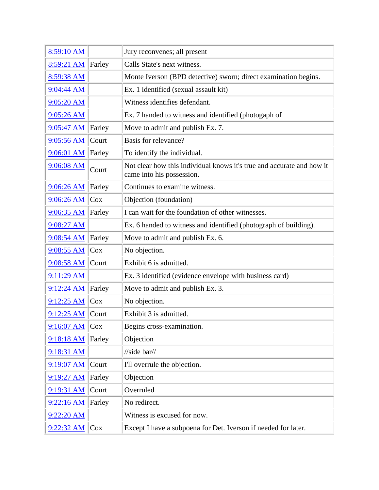| 8:59:10 AM   |        | Jury reconvenes; all present                                                                       |
|--------------|--------|----------------------------------------------------------------------------------------------------|
| 8:59:21 AM   | Farley | Calls State's next witness.                                                                        |
| 8:59:38 AM   |        | Monte Iverson (BPD detective) sworn; direct examination begins.                                    |
| 9:04:44 AM   |        | Ex. 1 identified (sexual assault kit)                                                              |
| 9:05:20 AM   |        | Witness identifies defendant.                                                                      |
| 9:05:26 AM   |        | Ex. 7 handed to witness and identified (photogaph of                                               |
| $9:05:47$ AM | Farley | Move to admit and publish Ex. 7.                                                                   |
| 9:05:56 AM   | Court  | Basis for relevance?                                                                               |
| 9:06:01 AM   | Farley | To identify the individual.                                                                        |
| 9:06:08 AM   | Court  | Not clear how this individual knows it's true and accurate and how it<br>came into his possession. |
| 9:06:26 AM   | Farley | Continues to examine witness.                                                                      |
| 9:06:26 AM   | Cox    | Objection (foundation)                                                                             |
| 9:06:35 AM   | Farley | I can wait for the foundation of other witnesses.                                                  |
| 9:08:27 AM   |        | Ex. 6 handed to witness and identified (photograph of building).                                   |
| 9:08:54 AM   | Farley | Move to admit and publish Ex. 6.                                                                   |
| 9:08:55 AM   | Cox    | No objection.                                                                                      |
| 9:08:58 AM   | Court  | Exhibit 6 is admitted.                                                                             |
| $9:11:29$ AM |        | Ex. 3 identified (evidence envelope with business card)                                            |
| 9:12:24 AM   | Farley | Move to admit and publish Ex. 3.                                                                   |
| 9:12:25 AM   | Cox    | No objection.                                                                                      |
| $9:12:25$ AM | Court  | Exhibit 3 is admitted.                                                                             |
| 9:16:07 AM   | Cox    | Begins cross-examination.                                                                          |
| 9:18:18 AM   | Farley | Objection                                                                                          |
| 9:18:31 AM   |        | $\frac{1}{\sqrt{1}}$                                                                               |
| 9:19:07 AM   | Court  | I'll overrule the objection.                                                                       |
| 9:19:27 AM   | Farley | Objection                                                                                          |
| $9:19:31$ AM | Court  | Overruled                                                                                          |
| 9:22:16 AM   | Farley | No redirect.                                                                                       |
| 9:22:20 AM   |        | Witness is excused for now.                                                                        |
| 9:22:32 AM   | Cox    | Except I have a subpoena for Det. Iverson if needed for later.                                     |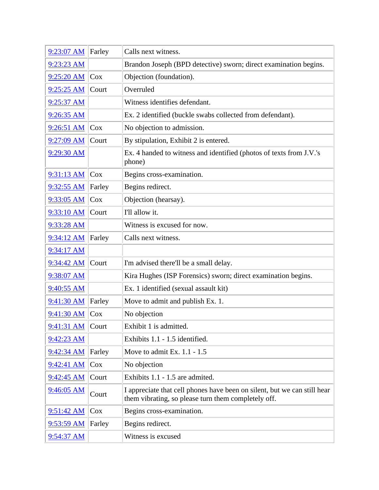| 9:23:07 AM   | Farley | Calls next witness.                                                                                                             |
|--------------|--------|---------------------------------------------------------------------------------------------------------------------------------|
| 9:23:23 AM   |        | Brandon Joseph (BPD detective) sworn; direct examination begins.                                                                |
| $9:25:20$ AM | $\cos$ | Objection (foundation).                                                                                                         |
| 9:25:25 AM   | Court  | Overruled                                                                                                                       |
| 9:25:37 AM   |        | Witness identifies defendant.                                                                                                   |
| 9:26:35 AM   |        | Ex. 2 identified (buckle swabs collected from defendant).                                                                       |
| 9:26:51 AM   | Cox    | No objection to admission.                                                                                                      |
| 9:27:09 AM   | Court  | By stipulation, Exhibit 2 is entered.                                                                                           |
| 9:29:30 AM   |        | Ex. 4 handed to witness and identified (photos of texts from J.V.'s<br>phone)                                                   |
| $9:31:13$ AM | Cox    | Begins cross-examination.                                                                                                       |
| $9:32:55$ AM | Farley | Begins redirect.                                                                                                                |
| $9:33:05$ AM | Cox    | Objection (hearsay).                                                                                                            |
| 9:33:10 AM   | Court  | I'll allow it.                                                                                                                  |
| 9:33:28 AM   |        | Witness is excused for now.                                                                                                     |
| 9:34:12 AM   | Farley | Calls next witness.                                                                                                             |
| 9:34:17 AM   |        |                                                                                                                                 |
| 9:34:42 AM   | Court  | I'm advised there'll be a small delay.                                                                                          |
| 9:38:07 AM   |        | Kira Hughes (ISP Forensics) sworn; direct examination begins.                                                                   |
| 9:40:55 AM   |        | Ex. 1 identified (sexual assault kit)                                                                                           |
| 9:41:30 AM   | Farley | Move to admit and publish Ex. 1.                                                                                                |
| 9:41:30 AM   | Cox    | No objection                                                                                                                    |
| 9:41:31 AM   | Court  | Exhibit 1 is admitted.                                                                                                          |
| $9:42:23$ AM |        | Exhibits 1.1 - 1.5 identified.                                                                                                  |
| $9:42:34$ AM | Farley | Move to admit Ex. $1.1 - 1.5$                                                                                                   |
| $9:42:41$ AM | Cox    | No objection                                                                                                                    |
| 9:42:45 AM   | Court  | Exhibits 1.1 - 1.5 are admited.                                                                                                 |
| 9:46:05 AM   | Court  | I appreciate that cell phones have been on silent, but we can still hear<br>them vibrating, so please turn them completely off. |
| 9:51:42 AM   | Cox    | Begins cross-examination.                                                                                                       |
| $9:53:59$ AM | Farley | Begins redirect.                                                                                                                |
| $9:54:37$ AM |        | Witness is excused                                                                                                              |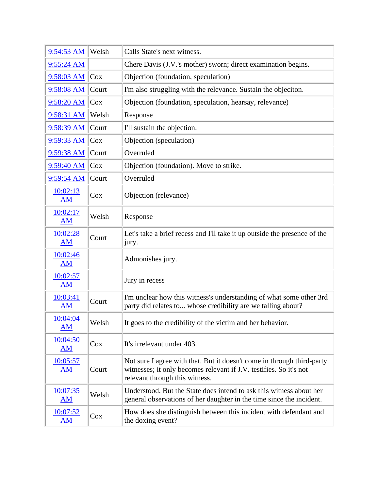| 9:54:53 AM            | Welsh  | Calls State's next witness.                                                                                                                                                    |
|-----------------------|--------|--------------------------------------------------------------------------------------------------------------------------------------------------------------------------------|
| $9:55:24$ AM          |        | Chere Davis (J.V.'s mother) sworn; direct examination begins.                                                                                                                  |
| 9:58:03 AM            | Cox    | Objection (foundation, speculation)                                                                                                                                            |
| 9:58:08 AM            | Court  | I'm also struggling with the relevance. Sustain the objection.                                                                                                                 |
| 9:58:20 AM            | $\cos$ | Objection (foundation, speculation, hearsay, relevance)                                                                                                                        |
| 9:58:31 AM            | Welsh  | Response                                                                                                                                                                       |
| $9:58:39$ AM          | Court  | I'll sustain the objection.                                                                                                                                                    |
| 9:59:33 AM            | $\cos$ | Objection (speculation)                                                                                                                                                        |
| 9:59:38 AM            | Court  | Overruled                                                                                                                                                                      |
| 9:59:40 AM            | Cox    | Objection (foundation). Move to strike.                                                                                                                                        |
| $9:59:54$ AM          | Court  | Overruled                                                                                                                                                                      |
| 10:02:13<br>AM        | $\cos$ | Objection (relevance)                                                                                                                                                          |
| 10:02:17<br>AM        | Welsh  | Response                                                                                                                                                                       |
| 10:02:28<br>AM        | Court  | Let's take a brief recess and I'll take it up outside the presence of the<br>jury.                                                                                             |
| 10:02:46<br>AM        |        | Admonishes jury.                                                                                                                                                               |
| 10:02:57<br><b>AM</b> |        | Jury in recess                                                                                                                                                                 |
| 10:03:41<br>AM        | Court  | I'm unclear how this witness's understanding of what some other 3rd<br>party did relates to whose credibility are we talling about?                                            |
| 10:04:04<br>AM        | Welsh  | It goes to the credibility of the victim and her behavior.                                                                                                                     |
| 10:04:50<br>AM        | Cox    | It's irrelevant under 403.                                                                                                                                                     |
| 10:05:57<br>AM        | Court  | Not sure I agree with that. But it doesn't come in through third-party<br>witnesses; it only becomes relevant if J.V. testifies. So it's not<br>relevant through this witness. |
| 10:07:35<br>AM        | Welsh  | Understood. But the State does intend to ask this witness about her<br>general observations of her daughter in the time since the incident.                                    |
| 10:07:52<br><u>AM</u> | $\cos$ | How does she distinguish between this incident with defendant and<br>the doxing event?                                                                                         |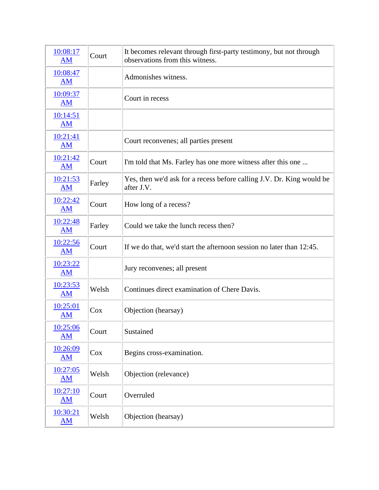| 10:08:17<br>AM                        | Court  | It becomes relevant through first-party testimony, but not through<br>observations from this witness. |
|---------------------------------------|--------|-------------------------------------------------------------------------------------------------------|
| 10:08:47<br>AM                        |        | Admonishes witness.                                                                                   |
| 10:09:37<br><b>AM</b>                 |        | Court in recess                                                                                       |
| 10:14:51<br><b>AM</b>                 |        |                                                                                                       |
| 10:21:41<br><b>AM</b>                 |        | Court reconvenes; all parties present                                                                 |
| 10:21:42<br><b>AM</b>                 | Court  | I'm told that Ms. Farley has one more witness after this one                                          |
| 10:21:53<br><b>AM</b>                 | Farley | Yes, then we'd ask for a recess before calling J.V. Dr. King would be<br>after J.V.                   |
| 10:22:42<br>AM                        | Court  | How long of a recess?                                                                                 |
| 10:22:48<br><b>AM</b>                 | Farley | Could we take the lunch recess then?                                                                  |
| 10:22:56<br><b>AM</b>                 | Court  | If we do that, we'd start the afternoon session no later than 12:45.                                  |
| 10:23:22<br>AM                        |        | Jury reconvenes; all present                                                                          |
| 10:23:53<br><b>AM</b>                 | Welsh  | Continues direct examination of Chere Davis.                                                          |
| 10:25:01<br><b>AM</b>                 | Cox    | Objection (hearsay)                                                                                   |
| 10:25:06<br>AM                        | Court  | Sustained                                                                                             |
| 10:26:09<br>AM                        | $\cos$ | Begins cross-examination.                                                                             |
| 10:27:05<br>$\underline{\mathbf{AM}}$ | Welsh  | Objection (relevance)                                                                                 |
| 10:27:10<br>AM                        | Court  | Overruled                                                                                             |
| 10:30:21<br>AM                        | Welsh  | Objection (hearsay)                                                                                   |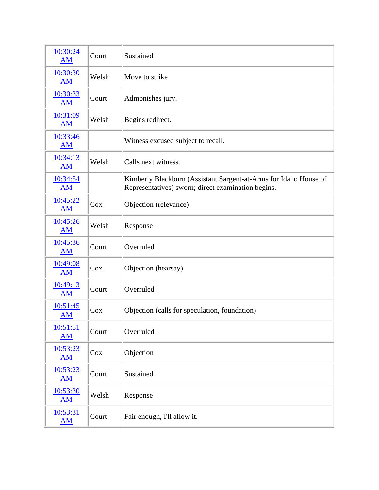| 10:30:24<br>AM                       | Court | Sustained                                                                                                              |
|--------------------------------------|-------|------------------------------------------------------------------------------------------------------------------------|
| 10:30:30<br><b>AM</b>                | Welsh | Move to strike                                                                                                         |
| 10:30:33<br><b>AM</b>                | Court | Admonishes jury.                                                                                                       |
| 10:31:09<br><b>AM</b>                | Welsh | Begins redirect.                                                                                                       |
| 10:33:46<br><b>AM</b>                |       | Witness excused subject to recall.                                                                                     |
| 10:34:13<br><b>AM</b>                | Welsh | Calls next witness.                                                                                                    |
| 10:34:54<br><b>AM</b>                |       | Kimberly Blackburn (Assistant Sargent-at-Arms for Idaho House of<br>Representatives) sworn; direct examination begins. |
| 10:45:22<br>AM                       | Cox   | Objection (relevance)                                                                                                  |
| 10:45:26<br>AM                       | Welsh | Response                                                                                                               |
| 10:45:36<br>AM                       | Court | Overruled                                                                                                              |
| 10:49:08<br><b>AM</b>                | Cox   | Objection (hearsay)                                                                                                    |
| 10:49:13<br><b>AM</b>                | Court | Overruled                                                                                                              |
| 10:51:45<br><b>AM</b>                | Cox   | Objection (calls for speculation, foundation)                                                                          |
| 10:51:51<br>$\overline{\mathbf{AM}}$ | Court | Overruled                                                                                                              |
| 10:53:23<br>AM                       | Cox   | Objection                                                                                                              |
| 10:53:23<br>AM                       | Court | Sustained                                                                                                              |
| 10:53:30<br>AM                       | Welsh | Response                                                                                                               |
| 10:53:31<br>$\mathbf{A}\mathbf{M}$   | Court | Fair enough, I'll allow it.                                                                                            |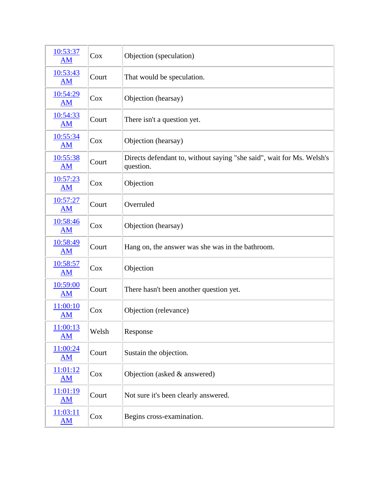| 10:53:37<br>AM                     | Cox    | Objection (speculation)                                                            |
|------------------------------------|--------|------------------------------------------------------------------------------------|
| 10:53:43<br>AM                     | Court  | That would be speculation.                                                         |
| 10:54:29<br>AM                     | Cox    | Objection (hearsay)                                                                |
| 10:54:33<br>AM                     | Court  | There isn't a question yet.                                                        |
| 10:55:34<br><b>AM</b>              | Cox    | Objection (hearsay)                                                                |
| 10:55:38<br>AM                     | Court  | Directs defendant to, without saying "she said", wait for Ms. Welsh's<br>question. |
| 10:57:23<br>AM                     | Cox    | Objection                                                                          |
| 10:57:27<br>AM                     | Court  | Overruled                                                                          |
| 10:58:46<br><b>AM</b>              | Cox    | Objection (hearsay)                                                                |
| 10:58:49<br>AM                     | Court  | Hang on, the answer was she was in the bathroom.                                   |
| 10:58:57<br>AM                     | $\cos$ | Objection                                                                          |
| 10:59:00<br>AM                     | Court  | There hasn't been another question yet.                                            |
| 11:00:10<br><b>AM</b>              | $\cos$ | Objection (relevance)                                                              |
| 11:00:13<br>AM                     | Welsh  | Response                                                                           |
| 11:00:24<br>AM                     | Court  | Sustain the objection.                                                             |
| 11:01:12<br>AM                     | Cox    | Objection (asked & answered)                                                       |
| 11:01:19<br>$\mathbf{A}\mathbf{M}$ | Court  | Not sure it's been clearly answered.                                               |
| 11:03:11<br><u>AM</u>              | Cox    | Begins cross-examination.                                                          |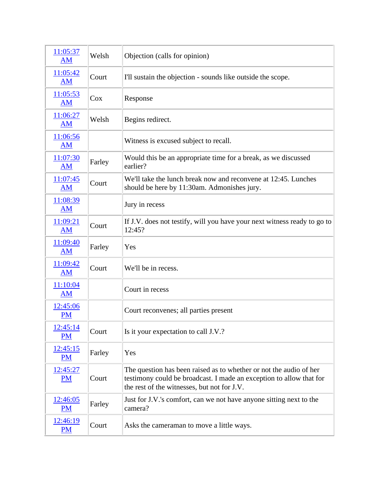| 11:05:37<br><b>AM</b> | Welsh  | Objection (calls for opinion)                                                                                                                                                            |
|-----------------------|--------|------------------------------------------------------------------------------------------------------------------------------------------------------------------------------------------|
| 11:05:42<br><b>AM</b> | Court  | I'll sustain the objection - sounds like outside the scope.                                                                                                                              |
| 11:05:53<br><b>AM</b> | Cox    | Response                                                                                                                                                                                 |
| 11:06:27<br>AM        | Welsh  | Begins redirect.                                                                                                                                                                         |
| 11:06:56<br>AM        |        | Witness is excused subject to recall.                                                                                                                                                    |
| 11:07:30<br><b>AM</b> | Farley | Would this be an appropriate time for a break, as we discussed<br>earlier?                                                                                                               |
| 11:07:45<br>AM        | Court  | We'll take the lunch break now and reconvene at 12:45. Lunches<br>should be here by 11:30am. Admonishes jury.                                                                            |
| 11:08:39<br>AM        |        | Jury in recess                                                                                                                                                                           |
| 11:09:21<br><b>AM</b> | Court  | If J.V. does not testify, will you have your next witness ready to go to<br>12:45?                                                                                                       |
| 11:09:40<br><b>AM</b> | Farley | Yes                                                                                                                                                                                      |
| 11:09:42<br>AM        | Court  | We'll be in recess.                                                                                                                                                                      |
| 11:10:04<br><b>AM</b> |        | Court in recess                                                                                                                                                                          |
| 12:45:06<br><b>PM</b> |        | Court reconvenes; all parties present                                                                                                                                                    |
| 12:45:14<br><b>PM</b> | Court  | Is it your expectation to call J.V.?                                                                                                                                                     |
| 12:45:15<br><b>PM</b> | Farley | Yes                                                                                                                                                                                      |
| 12:45:27<br><b>PM</b> | Court  | The question has been raised as to whether or not the audio of her<br>testimony could be broadcast. I made an exception to allow that for<br>the rest of the witnesses, but not for J.V. |
| 12:46:05<br><b>PM</b> | Farley | Just for J.V.'s comfort, can we not have anyone sitting next to the<br>camera?                                                                                                           |
| 12:46:19<br>PM        | Court  | Asks the cameraman to move a little ways.                                                                                                                                                |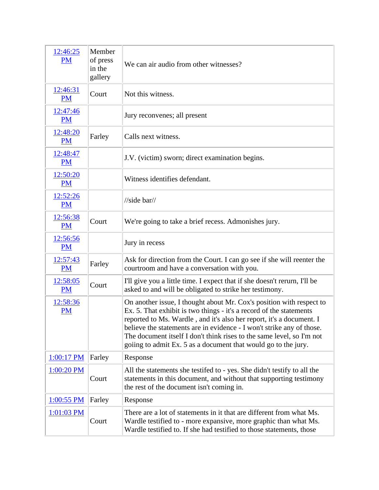| 12:46:25<br><b>PM</b> | Member<br>of press<br>in the<br>gallery | We can air audio from other witnesses?                                                                                                                                                                                                                                                                                                                                                                                                  |
|-----------------------|-----------------------------------------|-----------------------------------------------------------------------------------------------------------------------------------------------------------------------------------------------------------------------------------------------------------------------------------------------------------------------------------------------------------------------------------------------------------------------------------------|
| 12:46:31<br><b>PM</b> | Court                                   | Not this witness.                                                                                                                                                                                                                                                                                                                                                                                                                       |
| 12:47:46<br><b>PM</b> |                                         | Jury reconvenes; all present                                                                                                                                                                                                                                                                                                                                                                                                            |
| 12:48:20<br><b>PM</b> | Farley                                  | Calls next witness.                                                                                                                                                                                                                                                                                                                                                                                                                     |
| 12:48:47<br><b>PM</b> |                                         | J.V. (victim) sworn; direct examination begins.                                                                                                                                                                                                                                                                                                                                                                                         |
| 12:50:20<br><b>PM</b> |                                         | Witness identifies defendant.                                                                                                                                                                                                                                                                                                                                                                                                           |
| 12:52:26<br><b>PM</b> |                                         | $\frac{\text{m}}{\text{s}$ ide bar $\frac{\text{m}}{\text{s}}$                                                                                                                                                                                                                                                                                                                                                                          |
| 12:56:38<br><b>PM</b> | Court                                   | We're going to take a brief recess. Admonishes jury.                                                                                                                                                                                                                                                                                                                                                                                    |
| 12:56:56<br><b>PM</b> |                                         | Jury in recess                                                                                                                                                                                                                                                                                                                                                                                                                          |
| 12:57:43<br><b>PM</b> | Farley                                  | Ask for direction from the Court. I can go see if she will reenter the<br>courtroom and have a conversation with you.                                                                                                                                                                                                                                                                                                                   |
| 12:58:05<br><b>PM</b> | Court                                   | I'll give you a little time. I expect that if she doesn't rerurn, I'll be<br>asked to and will be obligated to strike her testimony.                                                                                                                                                                                                                                                                                                    |
| 12:58:36<br><b>PM</b> |                                         | On another issue, I thought about Mr. Cox's position with respect to<br>Ex. 5. That exhibit is two things - it's a record of the statements<br>reported to Ms. Wardle, and it's also her report, it's a document. I<br>believe the statements are in evidence - I won't strike any of those.<br>The document itself I don't think rises to the same level, so I'm not<br>goiing to admit Ex. 5 as a document that would go to the jury. |
| 1:00:17 PM            | Farley                                  | Response                                                                                                                                                                                                                                                                                                                                                                                                                                |
| 1:00:20 PM            | Court                                   | All the statements she testifed to - yes. She didn't testify to all the<br>statements in this document, and without that supporting testimony<br>the rest of the document isn't coming in.                                                                                                                                                                                                                                              |
| $1:00:55$ PM          | Farley                                  | Response                                                                                                                                                                                                                                                                                                                                                                                                                                |
| 1:01:03 PM            | Court                                   | There are a lot of statements in it that are different from what Ms.<br>Wardle testified to - more expansive, more graphic than what Ms.<br>Wardle testified to. If she had testified to those statements, those                                                                                                                                                                                                                        |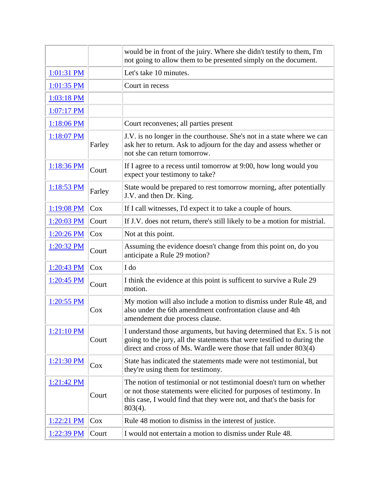|              |        | would be in front of the juiry. Where she didn't testify to them, I'm<br>not going to allow them to be presented simply on the document.                                                                                          |
|--------------|--------|-----------------------------------------------------------------------------------------------------------------------------------------------------------------------------------------------------------------------------------|
| 1:01:31 PM   |        | Let's take 10 minutes.                                                                                                                                                                                                            |
| 1:01:35 PM   |        | Court in recess                                                                                                                                                                                                                   |
| 1:03:18 PM   |        |                                                                                                                                                                                                                                   |
| 1:07:17 PM   |        |                                                                                                                                                                                                                                   |
| 1:18:06 PM   |        | Court reconvenes; all parties present                                                                                                                                                                                             |
| 1:18:07 PM   | Farley | J.V. is no longer in the courthouse. She's not in a state where we can<br>ask her to return. Ask to adjourn for the day and assess whether or<br>not she can return tomorrow.                                                     |
| 1:18:36 PM   | Court  | If I agree to a recess until tomorrow at 9:00, how long would you<br>expect your testimony to take?                                                                                                                               |
| $1:18:53$ PM | Farley | State would be prepared to rest tomorrow morning, after potentially<br>J.V. and then Dr. King.                                                                                                                                    |
| 1:19:08 PM   | Cox    | If I call witnesses, I'd expect it to take a couple of hours.                                                                                                                                                                     |
| 1:20:03 PM   | Court  | If J.V. does not return, there's still likely to be a motion for mistrial.                                                                                                                                                        |
| 1:20:26 PM   | Cox    | Not at this point.                                                                                                                                                                                                                |
| 1:20:32 PM   | Court  | Assuming the evidence doesn't change from this point on, do you<br>anticipate a Rule 29 motion?                                                                                                                                   |
| 1:20:43 PM   | Cox    | I do                                                                                                                                                                                                                              |
| $1:20:45$ PM | Court  | I think the evidence at this point is sufficent to survive a Rule 29<br>motion.                                                                                                                                                   |
| 1:20:55 PM   | $\cos$ | My motion will also include a motion to dismiss under Rule 48, and<br>also under the 6th amendment confrontation clause and 4th<br>amendement due process clause.                                                                 |
| $1:21:10$ PM | Court  | I understand those arguments, but having determined that Ex. 5 is not<br>going to the jury, all the statements that were testified to during the<br>direct and cross of Ms. Wardle were those that fall under 803(4)              |
| 1:21:30 PM   | Cox    | State has indicated the statements made were not testimonial, but<br>they're using them for testimony.                                                                                                                            |
| $1:21:42$ PM | Court  | The notion of testimonial or not testimonial doesn't turn on whether<br>or not those statements were elicited for purposes of testimony. In<br>this case, I would find that they were not, and that's the basis for<br>$803(4)$ . |
| 1:22:21 PM   | Cox    | Rule 48 motion to dismiss in the interest of justice.                                                                                                                                                                             |
| 1:22:39 PM   | Court  | I would not entertain a motion to dismiss under Rule 48.                                                                                                                                                                          |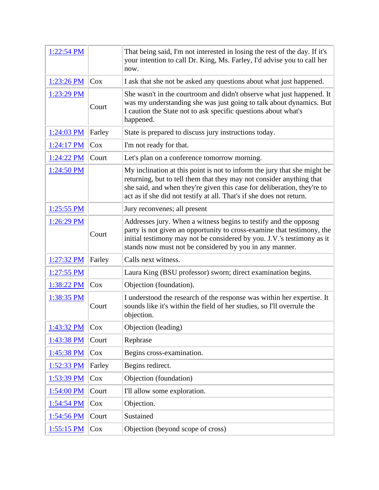| 1:22:54 PM   |        | That being said, I'm not interested in losing the rest of the day. If it's<br>your intention to call Dr. King, Ms. Farley, I'd advise you to call her<br>now.                                                                                                                                       |
|--------------|--------|-----------------------------------------------------------------------------------------------------------------------------------------------------------------------------------------------------------------------------------------------------------------------------------------------------|
| 1:23:26 PM   | Cox    | I ask that she not be asked any questions about what just happened.                                                                                                                                                                                                                                 |
| 1:23:29 PM   | Court  | She wasn't in the courtroom and didn't observe what just happened. It<br>was my understanding she was just going to talk about dynamics. But<br>I caution the State not to ask specific questions about what's<br>happened.                                                                         |
| 1:24:03 PM   | Farley | State is prepared to discuss jury instructions today.                                                                                                                                                                                                                                               |
| $1:24:17$ PM | Cox    | I'm not ready for that.                                                                                                                                                                                                                                                                             |
| 1:24:22 PM   | Court  | Let's plan on a conference tomorrow morning.                                                                                                                                                                                                                                                        |
| $1:24:50$ PM |        | My inclination at this point is not to inform the jury that she might be<br>returning, but to tell them that they may not consider anything that<br>she said, and when they're given this case for deliberation, they're to<br>act as if she did not testify at all. That's if she does not return. |
| $1:25:55$ PM |        | Jury reconvenes; all present                                                                                                                                                                                                                                                                        |
| $1:26:29$ PM | Court  | Addresses jury. When a witness begins to testify and the opposng<br>party is not given an opportunity to cross-examine that testimony, the<br>initial testimony may not be considered by you. J.V.'s testimony as it<br>stands now must not be considered by you in any manner.                     |
| 1:27:32 PM   | Farley | Calls next witness.                                                                                                                                                                                                                                                                                 |
| $1:27:55$ PM |        | Laura King (BSU professor) sworn; direct examination begins.                                                                                                                                                                                                                                        |
| 1:38:22 PM   | Cox    | Objection (foundation).                                                                                                                                                                                                                                                                             |
| 1:38:35 PM   | Court  | I understood the research of the response was within her expertise. It<br>sounds like it's within the field of her studies, so I'll overrule the<br>objection.                                                                                                                                      |
| 1:43:32 PM   | Cox    | Objection (leading)                                                                                                                                                                                                                                                                                 |
| 1:43:38 PM   | Court  | Rephrase                                                                                                                                                                                                                                                                                            |
| 1:45:38 PM   | Cox    | Begins cross-examination.                                                                                                                                                                                                                                                                           |
| 1:52:33 PM   | Farley | Begins redirect.                                                                                                                                                                                                                                                                                    |
| 1:53:39 PM   | Cox    | Objection (foundation)                                                                                                                                                                                                                                                                              |
| 1:54:00 PM   | Court  | I'll allow some exploration.                                                                                                                                                                                                                                                                        |
| 1:54:54 PM   | Cox    | Objection.                                                                                                                                                                                                                                                                                          |
| 1:54:56 PM   | Court  | Sustained                                                                                                                                                                                                                                                                                           |
| 1:55:15 PM   | Cox    | Objection (beyond scope of cross)                                                                                                                                                                                                                                                                   |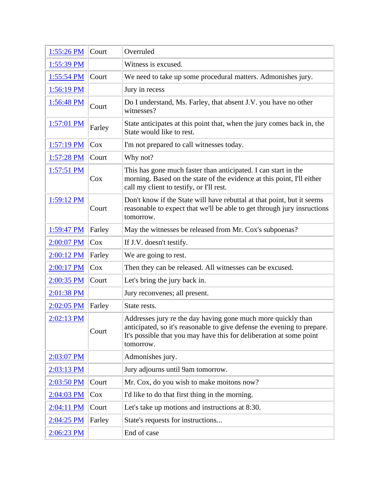| 1:55:26 PM           | Court  | Overruled                                                                                                                                                                                                                   |
|----------------------|--------|-----------------------------------------------------------------------------------------------------------------------------------------------------------------------------------------------------------------------------|
| 1:55:39 PM           |        | Witness is excused.                                                                                                                                                                                                         |
| $1:55:54 \text{ PM}$ | Court  | We need to take up some procedural matters. Admonishes jury.                                                                                                                                                                |
| 1:56:19 PM           |        | Jury in recess                                                                                                                                                                                                              |
| $1:56:48 \text{ PM}$ | Court  | Do I understand, Ms. Farley, that absent J.V. you have no other<br>witnesses?                                                                                                                                               |
| $1:57:01$ PM         | Farley | State anticipates at this point that, when the jury comes back in, the<br>State would like to rest.                                                                                                                         |
| <u>1:57:19 PM</u>    | Cox    | I'm not prepared to call witnesses today.                                                                                                                                                                                   |
| 1:57:28 PM           | Court  | Why not?                                                                                                                                                                                                                    |
| $1:57:51$ PM         | Cox    | This has gone much faster than anticipated. I can start in the<br>morning. Based on the state of the evidence at this point, I'll either<br>call my client to testify, or I'll rest.                                        |
| 1:59:12 PM           | Court  | Don't know if the State will have rebuttal at that point, but it seems<br>reasonable to expect that we'll be able to get through jury insructions<br>tomorrow.                                                              |
| 1:59:47 PM           | Farley | May the witnesses be released from Mr. Cox's subpoenas?                                                                                                                                                                     |
| 2:00:07 PM           | Cox    | If J.V. doesn't testify.                                                                                                                                                                                                    |
| 2:00:12 PM           | Farley | We are going to rest.                                                                                                                                                                                                       |
| 2:00:17 PM           | Cox    | Then they can be released. All witnesses can be excused.                                                                                                                                                                    |
| 2:00:35 PM           | Court  | Let's bring the jury back in.                                                                                                                                                                                               |
| 2:01:38 PM           |        | Jury reconvenes; all present.                                                                                                                                                                                               |
| 2:02:05 PM           | Farley | State rests.                                                                                                                                                                                                                |
| $2:02:13$ PM         | Court  | Addresses jury re the day having gone much more quickly than<br>anticipated, so it's reasonable to give defense the evening to prepare.<br>It's possible that you may have this for deliberation at some point<br>tomorrow. |
| 2:03:07 PM           |        | Admonishes jury.                                                                                                                                                                                                            |
| 2:03:13 PM           |        | Jury adjourns until 9am tomorrow.                                                                                                                                                                                           |
| 2:03:50 PM           | Court  | Mr. Cox, do you wish to make moitons now?                                                                                                                                                                                   |
| 2:04:03 PM           | Cox    | I'd like to do that first thing in the morning.                                                                                                                                                                             |
| 2:04:11 PM           | Court  | Let's take up motions and instructions at 8:30.                                                                                                                                                                             |
| 2:04:25 PM           | Farley | State's requests for instructions                                                                                                                                                                                           |
| 2:06:23 PM           |        | End of case                                                                                                                                                                                                                 |